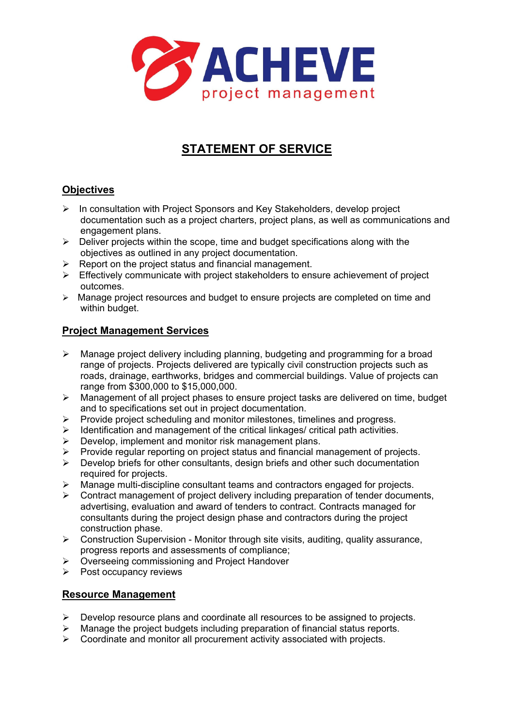

# **STATEMENT OF SERVICE**

# **Objectives**

- $\triangleright$  In consultation with Project Sponsors and Key Stakeholders, develop project documentation such as a project charters, project plans, as well as communications and engagement plans.
- $\triangleright$  Deliver projects within the scope, time and budget specifications along with the objectives as outlined in any project documentation.
- $\triangleright$  Report on the project status and financial management.
- $\triangleright$  Effectively communicate with project stakeholders to ensure achievement of project outcomes.
- $\triangleright$  Manage project resources and budget to ensure projects are completed on time and within budget.

### **Project Management Services**

- $\triangleright$  Manage project delivery including planning, budgeting and programming for a broad range of projects. Projects delivered are typically civil construction projects such as roads, drainage, earthworks, bridges and commercial buildings. Value of projects can range from \$300,000 to \$15,000,000.
- Management of all project phases to ensure project tasks are delivered on time, budget and to specifications set out in project documentation.
- $\triangleright$  Provide project scheduling and monitor milestones, timelines and progress.
- $\triangleright$  Identification and management of the critical linkages/ critical path activities.
- $\triangleright$  Develop, implement and monitor risk management plans.
- $\triangleright$  Provide regular reporting on project status and financial management of projects.
- $\triangleright$  Develop briefs for other consultants, design briefs and other such documentation required for projects.
- Manage multi-discipline consultant teams and contractors engaged for projects.
- $\triangleright$  Contract management of project delivery including preparation of tender documents, advertising, evaluation and award of tenders to contract. Contracts managed for consultants during the project design phase and contractors during the project construction phase.
- $\triangleright$  Construction Supervision Monitor through site visits, auditing, quality assurance, progress reports and assessments of compliance;
- Overseeing commissioning and Project Handover
- $\triangleright$  Post occupancy reviews

### **Resource Management**

- $\triangleright$  Develop resource plans and coordinate all resources to be assigned to projects.
- $\triangleright$  Manage the project budgets including preparation of financial status reports.
- $\triangleright$  Coordinate and monitor all procurement activity associated with projects.